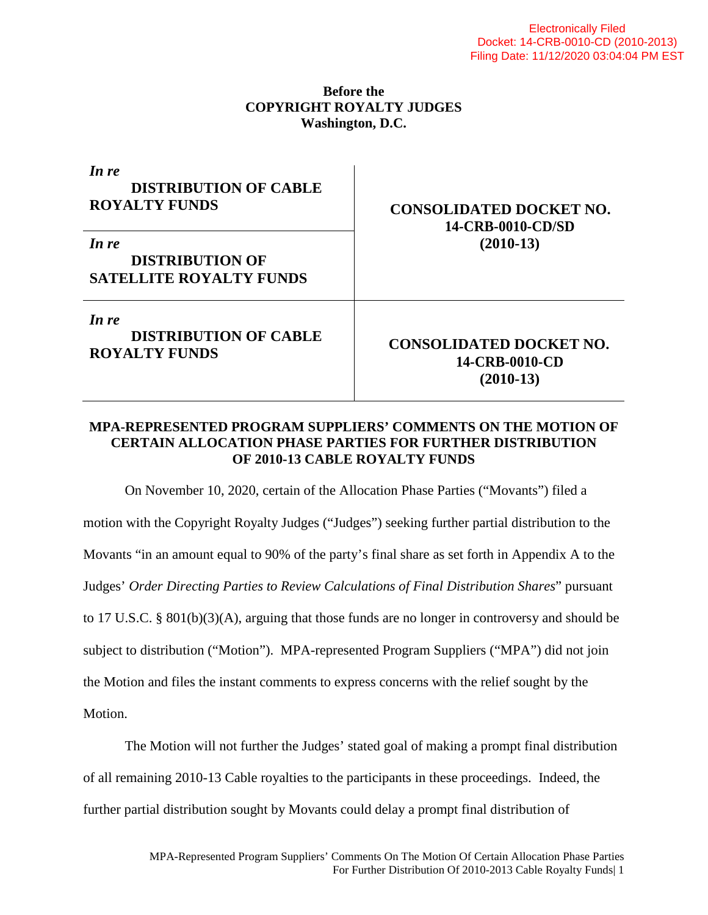## **Before the COPYRIGHT ROYALTY JUDGES Washington, D.C.**

| In re<br><b>DISTRIBUTION OF CABLE</b><br><b>ROYALTY FUNDS</b>     | <b>CONSOLIDATED DOCKET NO.</b><br>14-CRB-0010-CD/SD<br>$(2010-13)$ |
|-------------------------------------------------------------------|--------------------------------------------------------------------|
| In re<br><b>DISTRIBUTION OF</b><br><b>SATELLITE ROYALTY FUNDS</b> |                                                                    |
| In re<br><b>DISTRIBUTION OF CABLE</b><br><b>ROYALTY FUNDS</b>     | <b>CONSOLIDATED DOCKET NO.</b><br>14-CRB-0010-CD<br>$(2010-13)$    |

## **MPA-REPRESENTED PROGRAM SUPPLIERS' COMMENTS ON THE MOTION OF CERTAIN ALLOCATION PHASE PARTIES FOR FURTHER DISTRIBUTION OF 2010-13 CABLE ROYALTY FUNDS**

On November 10, 2020, certain of the Allocation Phase Parties ("Movants") filed a motion with the Copyright Royalty Judges ("Judges") seeking further partial distribution to the Movants "in an amount equal to 90% of the party's final share as set forth in Appendix A to the Judges' *Order Directing Parties to Review Calculations of Final Distribution Shares*" pursuant to 17 U.S.C. § 801(b)(3)(A), arguing that those funds are no longer in controversy and should be subject to distribution ("Motion"). MPA-represented Program Suppliers ("MPA") did not join the Motion and files the instant comments to express concerns with the relief sought by the Motion.

The Motion will not further the Judges' stated goal of making a prompt final distribution of all remaining 2010-13 Cable royalties to the participants in these proceedings. Indeed, the further partial distribution sought by Movants could delay a prompt final distribution of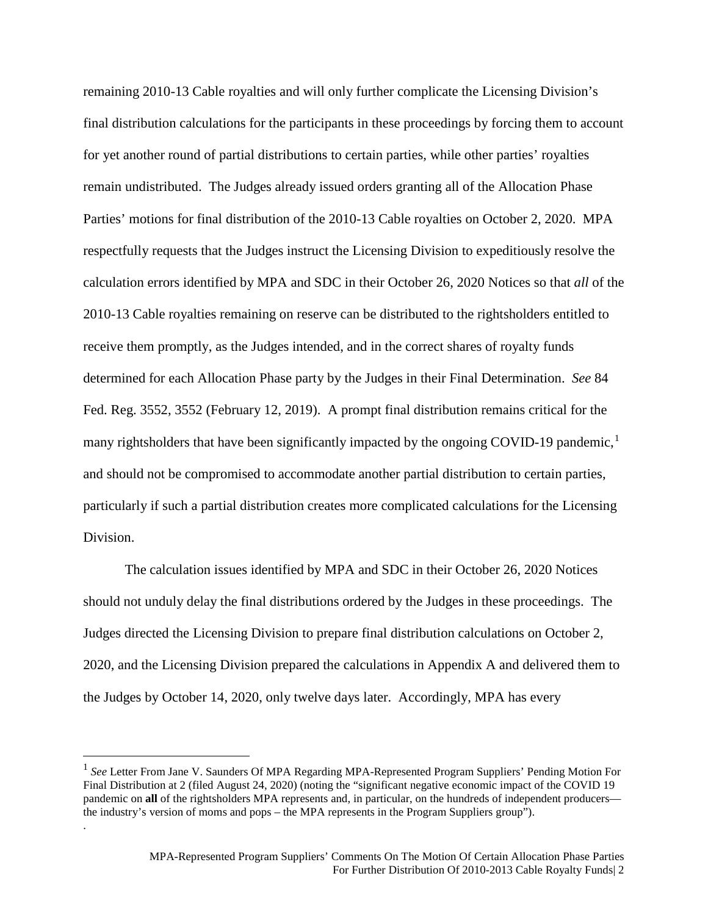remaining 2010-13 Cable royalties and will only further complicate the Licensing Division's final distribution calculations for the participants in these proceedings by forcing them to account for yet another round of partial distributions to certain parties, while other parties' royalties remain undistributed. The Judges already issued orders granting all of the Allocation Phase Parties' motions for final distribution of the 2010-13 Cable royalties on October 2, 2020. MPA respectfully requests that the Judges instruct the Licensing Division to expeditiously resolve the calculation errors identified by MPA and SDC in their October 26, 2020 Notices so that *all* of the 2010-13 Cable royalties remaining on reserve can be distributed to the rightsholders entitled to receive them promptly, as the Judges intended, and in the correct shares of royalty funds determined for each Allocation Phase party by the Judges in their Final Determination. *See* 84 Fed. Reg. 3552, 3552 (February 12, 2019). A prompt final distribution remains critical for the many rightsholders that have been significantly impacted by the ongoing COVID-[1](#page-1-0)9 pandemic,<sup>1</sup> and should not be compromised to accommodate another partial distribution to certain parties, particularly if such a partial distribution creates more complicated calculations for the Licensing Division.

The calculation issues identified by MPA and SDC in their October 26, 2020 Notices should not unduly delay the final distributions ordered by the Judges in these proceedings. The Judges directed the Licensing Division to prepare final distribution calculations on October 2, 2020, and the Licensing Division prepared the calculations in Appendix A and delivered them to the Judges by October 14, 2020, only twelve days later. Accordingly, MPA has every

.

<span id="page-1-0"></span><sup>&</sup>lt;sup>1</sup> See Letter From Jane V. Saunders Of MPA Regarding MPA-Represented Program Suppliers' Pending Motion For Final Distribution at 2 (filed August 24, 2020) (noting the "significant negative economic impact of the COVID 19 pandemic on **all** of the rightsholders MPA represents and, in particular, on the hundreds of independent producers the industry's version of moms and pops – the MPA represents in the Program Suppliers group").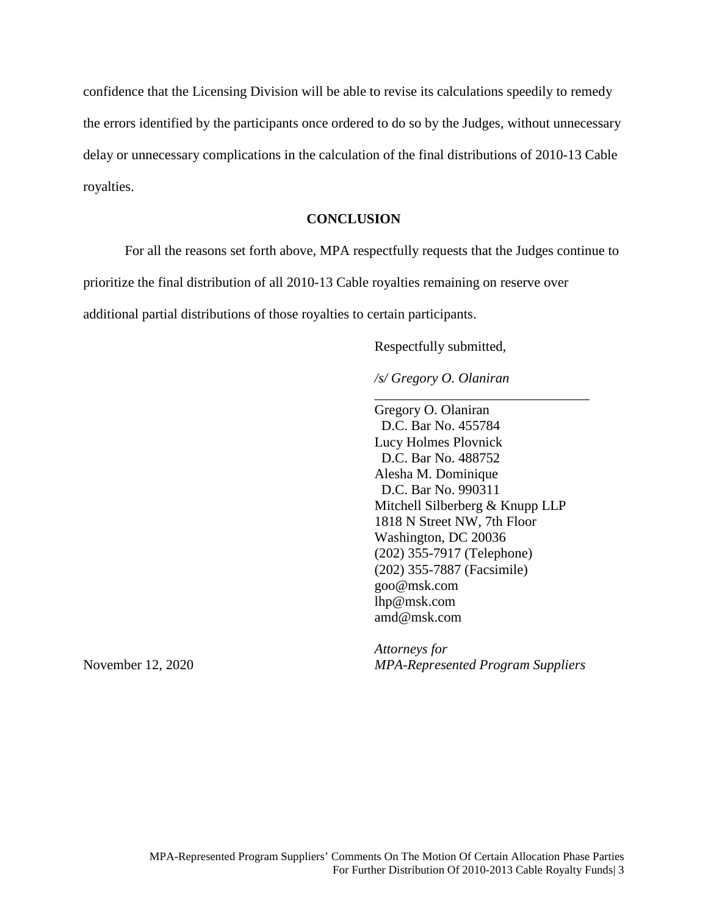confidence that the Licensing Division will be able to revise its calculations speedily to remedy the errors identified by the participants once ordered to do so by the Judges, without unnecessary delay or unnecessary complications in the calculation of the final distributions of 2010-13 Cable royalties.

## **CONCLUSION**

For all the reasons set forth above, MPA respectfully requests that the Judges continue to prioritize the final distribution of all 2010-13 Cable royalties remaining on reserve over additional partial distributions of those royalties to certain participants.

Respectfully submitted,

*/s/ Gregory O. Olaniran*

Gregory O. Olaniran D.C. Bar No. 455784 Lucy Holmes Plovnick D.C. Bar No. 488752 Alesha M. Dominique D.C. Bar No. 990311 Mitchell Silberberg & Knupp LLP 1818 N Street NW, 7th Floor Washington, DC 20036 (202) 355-7917 (Telephone) (202) 355-7887 (Facsimile) goo@msk.com lhp@msk.com amd@msk.com

\_\_\_\_\_\_\_\_\_\_\_\_\_\_\_\_\_\_\_\_\_\_\_\_\_\_\_\_\_\_\_

*Attorneys for* November 12, 2020 *MPA-Represented Program Suppliers*